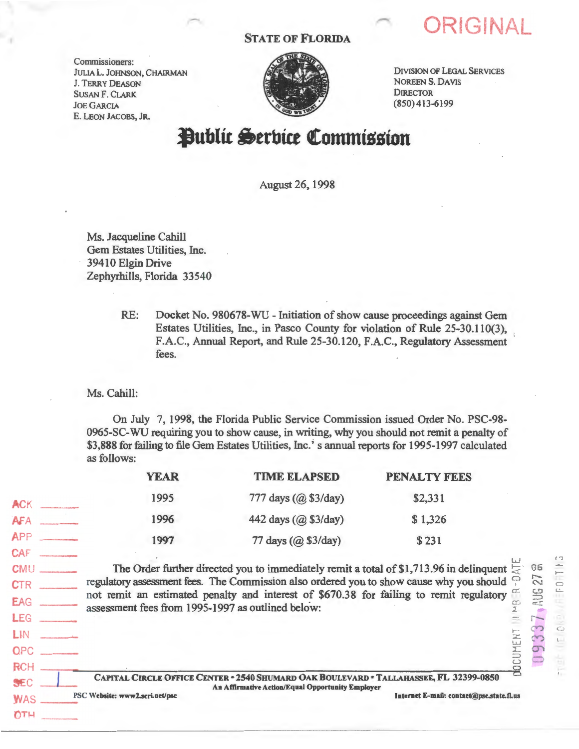## STATE OF FLORIDA

Commissioners: JULIA L. JOHNSON, CHAIRMAN J. TERRY DEASON SUSAN F. CLARK. JoE GARCIA E. LEON JACOBS, JR.



DIVISION OF LEGAL SERVICES NOREEN S. DAVIS DIRECTOR (850) 413-6199

**ORIGINAL** 

CJ

ċ

86  $^{27}$   $^{10}$  $\circ$ :::::> o:c::

## **l)ublit 6trbitt** ~ommission

August 26, 1998

Ms. Jacqueline Cahill Gem Estates Utilities, Inc. 39410 Elgin Drive Zephyrhills, Florida 33540

> RE: Docket No. 980678-WU - Initiation of show cause proceedings against Gem Estates Utilities, Inc., in Pasco County for violation of Rule 25-30.110(3), F.A.C., Annual Report, and Rule 25-30.120, F.A.C., Regulatory Assessment fees.

Ms. Cahill:

 $OTH$ 

On July 7, 1998, the Florida Public Service Commission issued Order No. PSC-98- 0965-SC-WU requiring you to show cause, in writing, why you should not remit a penalty of \$3,888 for failing to file Gem Estates Utilities, Inc.'s annual reports for 1995-1997 calculated as follows:

|                                        | <b>YEAR</b>                                                                                                                                                                                                                                                                                                                                        | <b>TIME ELAPSED</b>                                                                    | <b>PENALTY FEES</b>                      |  |
|----------------------------------------|----------------------------------------------------------------------------------------------------------------------------------------------------------------------------------------------------------------------------------------------------------------------------------------------------------------------------------------------------|----------------------------------------------------------------------------------------|------------------------------------------|--|
| ACK                                    | 1995                                                                                                                                                                                                                                                                                                                                               | 777 days (@ \$3/day)                                                                   | \$2,331                                  |  |
| AFA<br><b>School College</b>           | 1996                                                                                                                                                                                                                                                                                                                                               | 442 days (@ \$3/day)                                                                   | \$1,326                                  |  |
| APP                                    | 1997                                                                                                                                                                                                                                                                                                                                               | 77 days (@ \$3/day)                                                                    | \$231                                    |  |
| <b>CAF</b><br>CMU                      | The Order further directed you to immediately remit a total of \$1,713.96 in delinquent $\overline{z}$<br>regulatory assessment fees. The Commission also ordered you to show cause why you should<br>not remit an estimated penalty and interest of \$670.38 for failing to remit regulatory<br>assessment fees from 1995-1997 as outlined below: |                                                                                        |                                          |  |
| <b>CTR</b><br><b>EAG</b><br><b>LEG</b> |                                                                                                                                                                                                                                                                                                                                                    |                                                                                        |                                          |  |
| LIN<br><b>OPC</b>                      |                                                                                                                                                                                                                                                                                                                                                    |                                                                                        | <b>CUMENT</b>                            |  |
| <b>RCH</b><br>SEC                      |                                                                                                                                                                                                                                                                                                                                                    | CAPITAL CIRCLE OFFICE CENTER - 2540 SHUMARD OAK BOULEVARD - TALLAHASSEE, FL 32399-0850 | $\mathbf{R}$                             |  |
| <b>WAS</b><br>22.711                   | PSC Website: www2.scri.net/psc                                                                                                                                                                                                                                                                                                                     | An Affirmative Action/Equal Opportunity Employer                                       | Internet E-mail: contact@psc.state.fl.us |  |